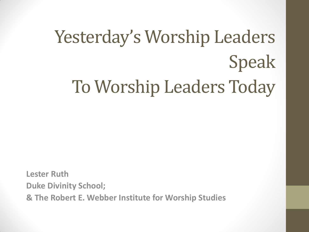# Yesterday's Worship Leaders Speak To Worship Leaders Today

**Lester Ruth Duke Divinity School; & The Robert E. Webber Institute for Worship Studies**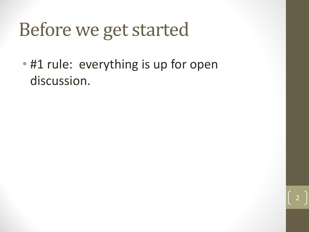#### Before we get started

• #1 rule: everything is up for open discussion.

2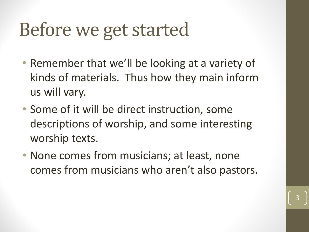#### Before we get started

- Remember that we'll be looking at a variety of kinds of materials. Thus how they main inform us will vary.
- Some of it will be direct instruction, some descriptions of worship, and some interesting worship texts.
- None comes from musicians; at least, none comes from musicians who aren't also pastors.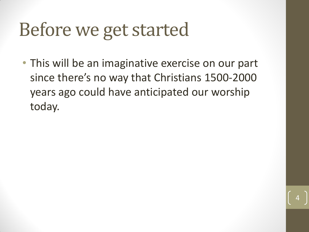#### Before we get started

• This will be an imaginative exercise on our part since there's no way that Christians 1500-2000 years ago could have anticipated our worship today.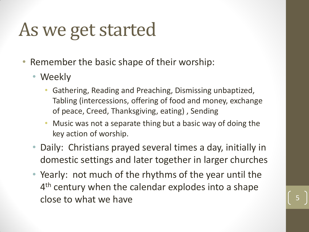#### As we get started

- Remember the basic shape of their worship:
	- Weekly
		- Gathering, Reading and Preaching, Dismissing unbaptized, Tabling (intercessions, offering of food and money, exchange of peace, Creed, Thanksgiving, eating) , Sending
		- Music was not a separate thing but a basic way of doing the key action of worship.
	- Daily: Christians prayed several times a day, initially in domestic settings and later together in larger churches
	- Yearly: not much of the rhythms of the year until the 4<sup>th</sup> century when the calendar explodes into a shape close to what we have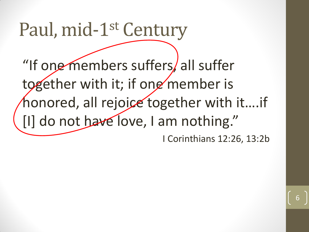#### Paul, mid-1st Century

"If one members suffers, all suffer together with it; if one member is honored, all rejoice together with it....if [I] do not have love, I am nothing." I Corinthians 12:26, 13:2b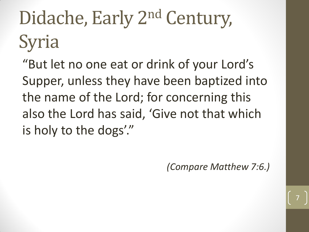# Didache, Early 2<sup>nd</sup> Century, Syria

"But let no one eat or drink of your Lord's Supper, unless they have been baptized into the name of the Lord; for concerning this also the Lord has said, 'Give not that which is holy to the dogs'."

*(Compare Matthew 7:6.)*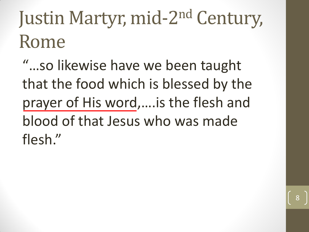## Justin Martyr, mid-2<sup>nd</sup> Century, Rome

"…so likewise have we been taught that the food which is blessed by the prayer of His word,….is the flesh and blood of that Jesus who was made flesh."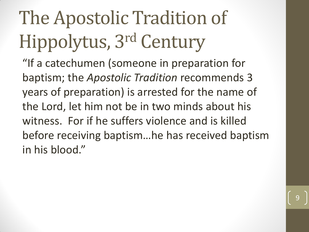# The Apostolic Tradition of Hippolytus, 3rd Century

"If a catechumen (someone in preparation for baptism; the *Apostolic Tradition* recommends 3 years of preparation) is arrested for the name of the Lord, let him not be in two minds about his witness. For if he suffers violence and is killed before receiving baptism…he has received baptism in his blood."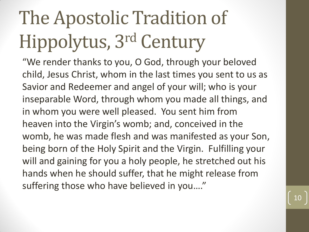# The Apostolic Tradition of Hippolytus, 3rd Century

"We render thanks to you, O God, through your beloved child, Jesus Christ, whom in the last times you sent to us as Savior and Redeemer and angel of your will; who is your inseparable Word, through whom you made all things, and in whom you were well pleased. You sent him from heaven into the Virgin's womb; and, conceived in the womb, he was made flesh and was manifested as your Son, being born of the Holy Spirit and the Virgin. Fulfilling your will and gaining for you a holy people, he stretched out his hands when he should suffer, that he might release from suffering those who have believed in you…."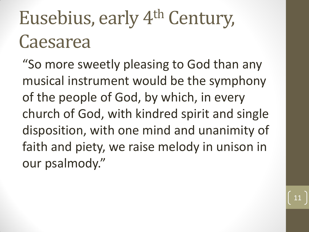#### Eusebius, early 4<sup>th</sup> Century, Caesarea

"So more sweetly pleasing to God than any musical instrument would be the symphony of the people of God, by which, in every church of God, with kindred spirit and single disposition, with one mind and unanimity of faith and piety, we raise melody in unison in our psalmody."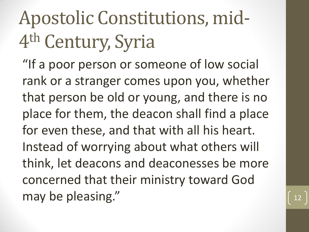## Apostolic Constitutions, mid-4 th Century, Syria

"If a poor person or someone of low social rank or a stranger comes upon you, whether that person be old or young, and there is no place for them, the deacon shall find a place for even these, and that with all his heart. Instead of worrying about what others will think, let deacons and deaconesses be more concerned that their ministry toward God may be pleasing."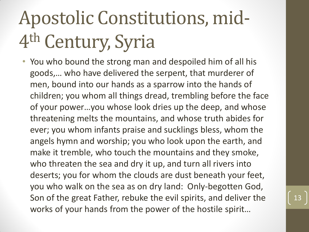# Apostolic Constitutions, mid-4 th Century, Syria

• You who bound the strong man and despoiled him of all his goods,… who have delivered the serpent, that murderer of men, bound into our hands as a sparrow into the hands of children; you whom all things dread, trembling before the face of your power…you whose look dries up the deep, and whose threatening melts the mountains, and whose truth abides for ever; you whom infants praise and sucklings bless, whom the angels hymn and worship; you who look upon the earth, and make it tremble, who touch the mountains and they smoke, who threaten the sea and dry it up, and turn all rivers into deserts; you for whom the clouds are dust beneath your feet, you who walk on the sea as on dry land: Only-begotten God, Son of the great Father, rebuke the evil spirits, and deliver the works of your hands from the power of the hostile spirit…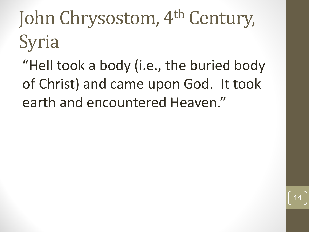# John Chrysostom, 4<sup>th</sup> Century, Syria

"Hell took a body (i.e., the buried body of Christ) and came upon God. It took earth and encountered Heaven."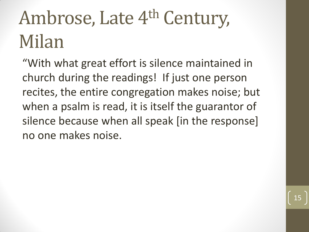## Ambrose, Late 4<sup>th</sup> Century, Milan

"With what great effort is silence maintained in church during the readings! If just one person recites, the entire congregation makes noise; but when a psalm is read, it is itself the guarantor of silence because when all speak [in the response] no one makes noise.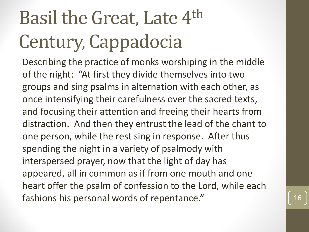# Basil the Great, Late 4th Century, Cappadocia

Describing the practice of monks worshiping in the middle of the night: "At first they divide themselves into two groups and sing psalms in alternation with each other, as once intensifying their carefulness over the sacred texts, and focusing their attention and freeing their hearts from distraction. And then they entrust the lead of the chant to one person, while the rest sing in response. After thus spending the night in a variety of psalmody with interspersed prayer, now that the light of day has appeared, all in common as if from one mouth and one heart offer the psalm of confession to the Lord, while each fashions his personal words of repentance."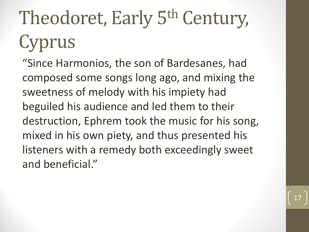# Theodoret, Early 5th Century, Cyprus

"Since Harmonios, the son of Bardesanes, had composed some songs long ago, and mixing the sweetness of melody with his impiety had beguiled his audience and led them to their destruction, Ephrem took the music for his song, mixed in his own piety, and thus presented his listeners with a remedy both exceedingly sweet and beneficial."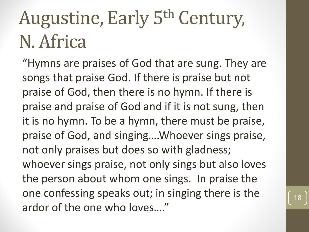### Augustine, Early 5th Century, N. Africa

"Hymns are praises of God that are sung. They are songs that praise God. If there is praise but not praise of God, then there is no hymn. If there is praise and praise of God and if it is not sung, then it is no hymn. To be a hymn, there must be praise, praise of God, and singing….Whoever sings praise, not only praises but does so with gladness; whoever sings praise, not only sings but also loves the person about whom one sings. In praise the one confessing speaks out; in singing there is the ardor of the one who loves…."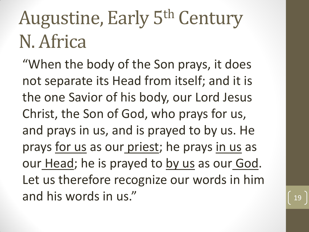#### Augustine, Early 5th Century N. Africa

"When the body of the Son prays, it does not separate its Head from itself; and it is the one Savior of his body, our Lord Jesus Christ, the Son of God, who prays for us, and prays in us, and is prayed to by us. He prays for us as our priest; he prays in us as our Head; he is prayed to by us as our God. Let us therefore recognize our words in him and his words in us."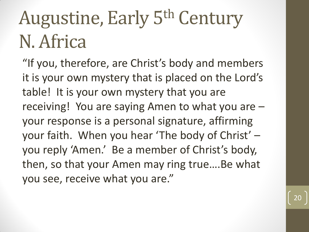### Augustine, Early 5th Century N. Africa

"If you, therefore, are Christ's body and members it is your own mystery that is placed on the Lord's table! It is your own mystery that you are receiving! You are saying Amen to what you are – your response is a personal signature, affirming your faith. When you hear 'The body of Christ' – you reply 'Amen.' Be a member of Christ's body, then, so that your Amen may ring true….Be what you see, receive what you are."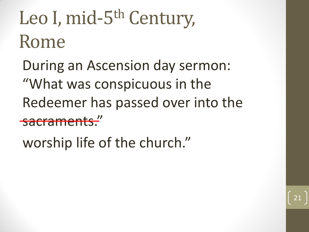# Leo I, mid-5<sup>th</sup> Century, Rome

During an Ascension day sermon: "What was conspicuous in the Redeemer has passed over into the sacrament

21

worship life of the church."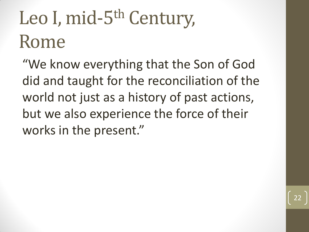# Leo I, mid-5<sup>th</sup> Century, Rome

"We know everything that the Son of God did and taught for the reconciliation of the world not just as a history of past actions, but we also experience the force of their works in the present."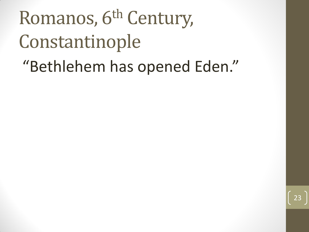# Romanos, 6<sup>th</sup> Century, Constantinople

#### "Bethlehem has opened Eden."